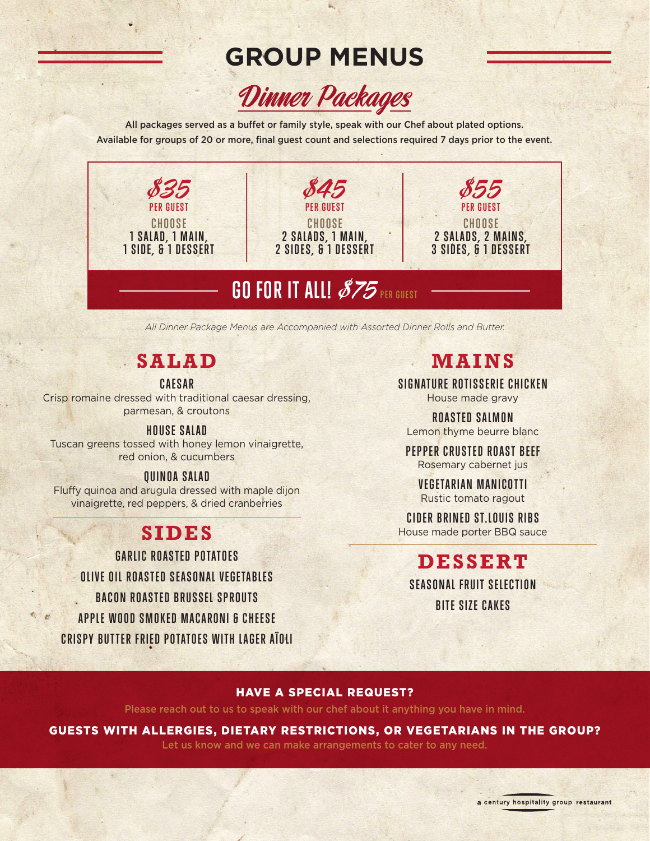# **GROUP MENUS**



All packages served as a buffet or family style, speak with our Chef about plated options. Available for groups of 20 or more, final guest count and selections required 7 days prior to the event.



*All Dinner Package Menus are Accompanied with Assorted Dinner Rolls and Butter.*

## **SALAD**

**CAESAR**

Crisp romaine dressed with traditional caesar dressing, parmesan, & croutons

#### **HOUSE SALAD**

Tuscan greens tossed with honey lemon vinaigrette, red onion, & cucumbers

#### **QUINOA SALAD**

Fluffy quinoa and arugula dressed with maple dijon vinaigrette, red peppers, & dried cranberries

## **SIDES**

**GARLIC ROASTED POTATOES OLIVE OIL ROASTED SEASONAL VEGETABLES BACON ROASTED BRUSSEL SPROUTS APPLE WOOD SMOKED MACARONI & CHEESE CRISPY BUTTER FRIED POTATOES WITH LAGER AÏOLI**

## **MAINS**

**SIGNATURE ROTISSERIE CHICKEN** House made gravy

**ROASTED SALMON** Lemon thyme beurre blanc

**PEPPER CRUSTED ROAST BEEF** Rosemary cabernet jus

**VEGETARIAN MANICOTTI** Rustic tomato ragout

**CIDER BRINED ST.LOUIS RIBS** House made porter BBQ sauce

## **DESSERT**

**SEASONAL FRUIT SELECTION BITE SIZE CAKES**

#### HAVE A SPECIAL REQUEST?

Please reach out to us to speak with our chef about it anything you have in mind.

#### GUESTS WITH ALLERGIES, DIETARY RESTRICTIONS, OR VEGETARIANS IN THE GROUP?

Let us know and we can make arrangements to cater to any need.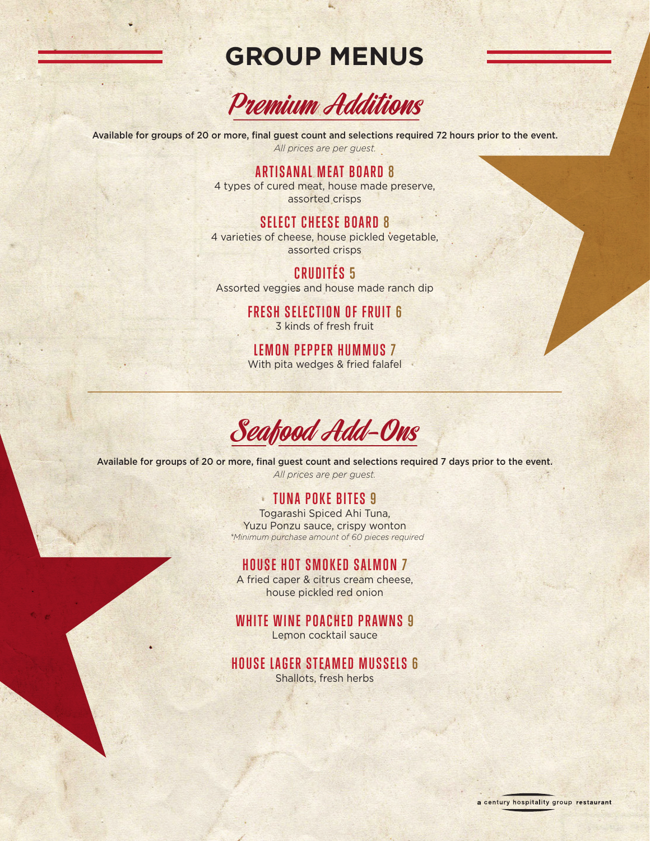## **GROUP MENUS**



Available for groups of 20 or more, final guest count and selections required 72 hours prior to the event. *All prices are per guest.*

#### **ARTISANAL MEAT BOARD 8**

4 types of cured meat, house made preserve, assorted crisps

#### **SELECT CHEESE BOARD 8**

4 varieties of cheese, house pickled vegetable, assorted crisps

### **CRUDITÉS 5**

Assorted veggies and house made ranch dip

**FRESH SELECTION OF FRUIT 6** 3 kinds of fresh fruit

**LEMON PEPPER HUMMUS 7** With pita wedges & fried falafel

Seafood Add-Ons

Available for groups of 20 or more, final guest count and selections required 7 days prior to the event. *All prices are per guest.*

#### **TUNA POKE BITES 9**

Togarashi Spiced Ahi Tuna, Yuzu Ponzu sauce, crispy wonton  *\*Minimum purchase amount of 60 pieces required*

### **HOUSE HOT SMOKED SALMON 7**

A fried caper & citrus cream cheese, house pickled red onion

### **WHITE WINE POACHED PRAWNS 9**

Lemon cocktail sauce

**HOUSE LAGER STEAMED MUSSELS 6**

Shallots, fresh herbs

a century hospitality group restaurant